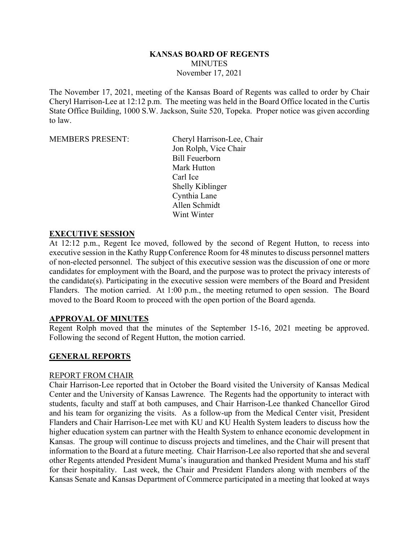### **KANSAS BOARD OF REGENTS MINUTES** November 17, 2021

The November 17, 2021, meeting of the Kansas Board of Regents was called to order by Chair Cheryl Harrison-Lee at 12:12 p.m. The meeting was held in the Board Office located in the Curtis State Office Building, 1000 S.W. Jackson, Suite 520, Topeka. Proper notice was given according to law.

MEMBERS PRESENT: Cheryl Harrison-Lee, Chair Jon Rolph, Vice Chair Bill Feuerborn Mark Hutton Carl Ice Shelly Kiblinger Cynthia Lane Allen Schmidt Wint Winter

#### **EXECUTIVE SESSION**

At 12:12 p.m., Regent Ice moved, followed by the second of Regent Hutton, to recess into executive session in the Kathy Rupp Conference Room for 48 minutes to discuss personnel matters of non-elected personnel. The subject of this executive session was the discussion of one or more candidates for employment with the Board, and the purpose was to protect the privacy interests of the candidate(s). Participating in the executive session were members of the Board and President Flanders. The motion carried. At 1:00 p.m., the meeting returned to open session. The Board moved to the Board Room to proceed with the open portion of the Board agenda.

#### **APPROVAL OF MINUTES**

Regent Rolph moved that the minutes of the September 15-16, 2021 meeting be approved. Following the second of Regent Hutton, the motion carried.

#### **GENERAL REPORTS**

#### REPORT FROM CHAIR

Chair Harrison-Lee reported that in October the Board visited the University of Kansas Medical Center and the University of Kansas Lawrence. The Regents had the opportunity to interact with students, faculty and staff at both campuses, and Chair Harrison-Lee thanked Chancellor Girod and his team for organizing the visits. As a follow-up from the Medical Center visit, President Flanders and Chair Harrison-Lee met with KU and KU Health System leaders to discuss how the higher education system can partner with the Health System to enhance economic development in Kansas. The group will continue to discuss projects and timelines, and the Chair will present that information to the Board at a future meeting. Chair Harrison-Lee also reported that she and several other Regents attended President Muma's inauguration and thanked President Muma and his staff for their hospitality. Last week, the Chair and President Flanders along with members of the Kansas Senate and Kansas Department of Commerce participated in a meeting that looked at ways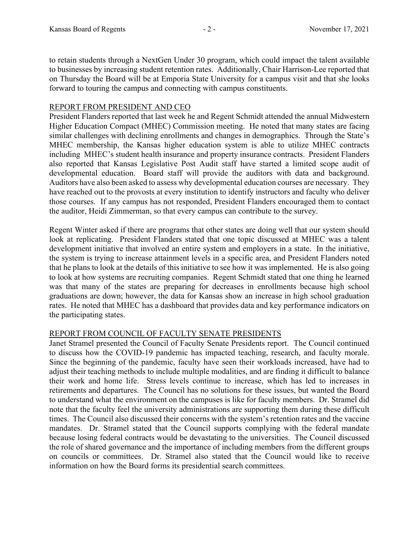to retain students through a NextGen Under 30 program, which could impact the talent available to businesses by increasing student retention rates. Additionally, Chair Harrison-Lee reported that on Thursday the Board will be at Emporia State University for a campus visit and that she looks forward to touring the campus and connecting with campus constituents.

### REPORT FROM PRESIDENT AND CEO

President Flanders reported that last week he and Regent Schmidt attended the annual Midwestern Higher Education Compact (MHEC) Commission meeting. He noted that many states are facing similar challenges with declining enrollments and changes in demographics. Through the State's MHEC membership, the Kansas higher education system is able to utilize MHEC contracts including MHEC's student health insurance and property insurance contracts. President Flanders also reported that Kansas Legislative Post Audit staff have started a limited scope audit of developmental education. Board staff will provide the auditors with data and background. Auditors have also been asked to assess why developmental education courses are necessary. They have reached out to the provosts at every institution to identify instructors and faculty who deliver those courses. If any campus has not responded, President Flanders encouraged them to contact the auditor, Heidi Zimmerman, so that every campus can contribute to the survey.

Regent Winter asked if there are programs that other states are doing well that our system should look at replicating. President Flanders stated that one topic discussed at MHEC was a talent development initiative that involved an entire system and employers in a state. In the initiative, the system is trying to increase attainment levels in a specific area, and President Flanders noted that he plans to look at the details of this initiative to see how it was implemented. He is also going to look at how systems are recruiting companies. Regent Schmidt stated that one thing he learned was that many of the states are preparing for decreases in enrollments because high school graduations are down; however, the data for Kansas show an increase in high school graduation rates. He noted that MHEC has a dashboard that provides data and key performance indicators on the participating states.

# REPORT FROM COUNCIL OF FACULTY SENATE PRESIDENTS

Janet Stramel presented the Council of Faculty Senate Presidents report. The Council continued to discuss how the COVID-19 pandemic has impacted teaching, research, and faculty morale. Since the beginning of the pandemic, faculty have seen their workloads increased, have had to adjust their teaching methods to include multiple modalities, and are finding it difficult to balance their work and home life. Stress levels continue to increase, which has led to increases in retirements and departures. The Council has no solutions for these issues, but wanted the Board to understand what the environment on the campuses is like for faculty members. Dr. Stramel did note that the faculty feel the university administrations are supporting them during these difficult times. The Council also discussed their concerns with the system's retention rates and the vaccine mandates. Dr. Stramel stated that the Council supports complying with the federal mandate because losing federal contracts would be devastating to the universities. The Council discussed the role of shared governance and the importance of including members from the different groups on councils or committees. Dr. Stramel also stated that the Council would like to receive information on how the Board forms its presidential search committees.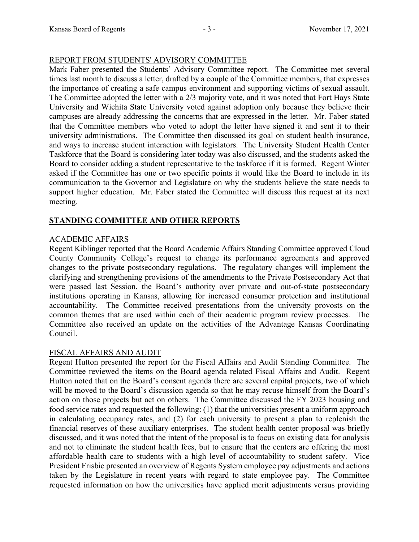### REPORT FROM STUDENTS' ADVISORY COMMITTEE

Mark Faber presented the Students' Advisory Committee report. The Committee met several times last month to discuss a letter, drafted by a couple of the Committee members, that expresses the importance of creating a safe campus environment and supporting victims of sexual assault. The Committee adopted the letter with a 2/3 majority vote, and it was noted that Fort Hays State University and Wichita State University voted against adoption only because they believe their campuses are already addressing the concerns that are expressed in the letter. Mr. Faber stated that the Committee members who voted to adopt the letter have signed it and sent it to their university administrations. The Committee then discussed its goal on student health insurance, and ways to increase student interaction with legislators. The University Student Health Center Taskforce that the Board is considering later today was also discussed, and the students asked the Board to consider adding a student representative to the taskforce if it is formed. Regent Winter asked if the Committee has one or two specific points it would like the Board to include in its communication to the Governor and Legislature on why the students believe the state needs to support higher education. Mr. Faber stated the Committee will discuss this request at its next meeting.

# **STANDING COMMITTEE AND OTHER REPORTS**

# ACADEMIC AFFAIRS

Regent Kiblinger reported that the Board Academic Affairs Standing Committee approved Cloud County Community College's request to change its performance agreements and approved changes to the private postsecondary regulations. The regulatory changes will implement the clarifying and strengthening provisions of the amendments to the Private Postsecondary Act that were passed last Session. the Board's authority over private and out-of-state postsecondary institutions operating in Kansas, allowing for increased consumer protection and institutional accountability. The Committee received presentations from the university provosts on the common themes that are used within each of their academic program review processes. The Committee also received an update on the activities of the Advantage Kansas Coordinating Council.

# FISCAL AFFAIRS AND AUDIT

Regent Hutton presented the report for the Fiscal Affairs and Audit Standing Committee. The Committee reviewed the items on the Board agenda related Fiscal Affairs and Audit. Regent Hutton noted that on the Board's consent agenda there are several capital projects, two of which will be moved to the Board's discussion agenda so that he may recuse himself from the Board's action on those projects but act on others. The Committee discussed the FY 2023 housing and food service rates and requested the following: (1) that the universities present a uniform approach in calculating occupancy rates, and (2) for each university to present a plan to replenish the financial reserves of these auxiliary enterprises. The student health center proposal was briefly discussed, and it was noted that the intent of the proposal is to focus on existing data for analysis and not to eliminate the student health fees, but to ensure that the centers are offering the most affordable health care to students with a high level of accountability to student safety. Vice President Frisbie presented an overview of Regents System employee pay adjustments and actions taken by the Legislature in recent years with regard to state employee pay. The Committee requested information on how the universities have applied merit adjustments versus providing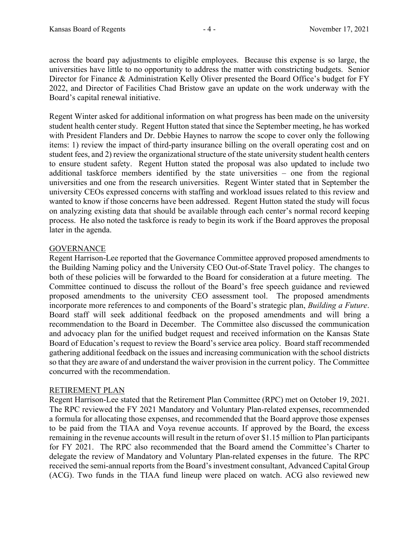across the board pay adjustments to eligible employees. Because this expense is so large, the universities have little to no opportunity to address the matter with constricting budgets. Senior Director for Finance & Administration Kelly Oliver presented the Board Office's budget for FY 2022, and Director of Facilities Chad Bristow gave an update on the work underway with the Board's capital renewal initiative.

Regent Winter asked for additional information on what progress has been made on the university student health center study. Regent Hutton stated that since the September meeting, he has worked with President Flanders and Dr. Debbie Haynes to narrow the scope to cover only the following items: 1) review the impact of third-party insurance billing on the overall operating cost and on student fees, and 2) review the organizational structure of the state university student health centers to ensure student safety. Regent Hutton stated the proposal was also updated to include two additional taskforce members identified by the state universities – one from the regional universities and one from the research universities. Regent Winter stated that in September the university CEOs expressed concerns with staffing and workload issues related to this review and wanted to know if those concerns have been addressed. Regent Hutton stated the study will focus on analyzing existing data that should be available through each center's normal record keeping process. He also noted the taskforce is ready to begin its work if the Board approves the proposal later in the agenda.

# **GOVERNANCE**

Regent Harrison-Lee reported that the Governance Committee approved proposed amendments to the Building Naming policy and the University CEO Out-of-State Travel policy. The changes to both of these policies will be forwarded to the Board for consideration at a future meeting. The Committee continued to discuss the rollout of the Board's free speech guidance and reviewed proposed amendments to the university CEO assessment tool. The proposed amendments incorporate more references to and components of the Board's strategic plan, *Building a Future*. Board staff will seek additional feedback on the proposed amendments and will bring a recommendation to the Board in December. The Committee also discussed the communication and advocacy plan for the unified budget request and received information on the Kansas State Board of Education's request to review the Board's service area policy. Board staff recommended gathering additional feedback on the issues and increasing communication with the school districts so that they are aware of and understand the waiver provision in the current policy. The Committee concurred with the recommendation.

#### RETIREMENT PLAN

Regent Harrison-Lee stated that the Retirement Plan Committee (RPC) met on October 19, 2021. The RPC reviewed the FY 2021 Mandatory and Voluntary Plan-related expenses, recommended a formula for allocating those expenses, and recommended that the Board approve those expenses to be paid from the TIAA and Voya revenue accounts. If approved by the Board, the excess remaining in the revenue accounts will result in the return of over \$1.15 million to Plan participants for FY 2021. The RPC also recommended that the Board amend the Committee's Charter to delegate the review of Mandatory and Voluntary Plan-related expenses in the future. The RPC received the semi-annual reports from the Board's investment consultant, Advanced Capital Group (ACG). Two funds in the TIAA fund lineup were placed on watch. ACG also reviewed new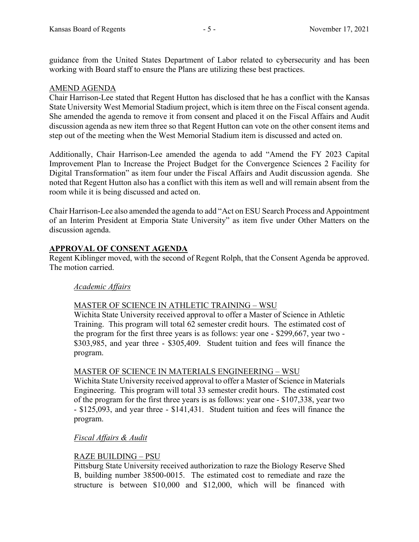guidance from the United States Department of Labor related to cybersecurity and has been working with Board staff to ensure the Plans are utilizing these best practices.

### AMEND AGENDA

Chair Harrison-Lee stated that Regent Hutton has disclosed that he has a conflict with the Kansas State University West Memorial Stadium project, which is item three on the Fiscal consent agenda. She amended the agenda to remove it from consent and placed it on the Fiscal Affairs and Audit discussion agenda as new item three so that Regent Hutton can vote on the other consent items and step out of the meeting when the West Memorial Stadium item is discussed and acted on.

Additionally, Chair Harrison-Lee amended the agenda to add "Amend the FY 2023 Capital Improvement Plan to Increase the Project Budget for the Convergence Sciences 2 Facility for Digital Transformation" as item four under the Fiscal Affairs and Audit discussion agenda. She noted that Regent Hutton also has a conflict with this item as well and will remain absent from the room while it is being discussed and acted on.

Chair Harrison-Lee also amended the agenda to add "Act on ESU Search Process and Appointment of an Interim President at Emporia State University" as item five under Other Matters on the discussion agenda.

### **APPROVAL OF CONSENT AGENDA**

Regent Kiblinger moved, with the second of Regent Rolph, that the Consent Agenda be approved. The motion carried.

#### *Academic Affairs*

#### MASTER OF SCIENCE IN ATHLETIC TRAINING – WSU

Wichita State University received approval to offer a Master of Science in Athletic Training. This program will total 62 semester credit hours. The estimated cost of the program for the first three years is as follows: year one - \$299,667, year two - \$303,985, and year three - \$305,409. Student tuition and fees will finance the program.

#### MASTER OF SCIENCE IN MATERIALS ENGINEERING – WSU

Wichita State University received approval to offer a Master of Science in Materials Engineering. This program will total 33 semester credit hours. The estimated cost of the program for the first three years is as follows: year one - \$107,338, year two - \$125,093, and year three - \$141,431. Student tuition and fees will finance the program.

#### *Fiscal Affairs & Audit*

#### RAZE BUILDING – PSU

Pittsburg State University received authorization to raze the Biology Reserve Shed B, building number 38500-0015. The estimated cost to remediate and raze the structure is between \$10,000 and \$12,000, which will be financed with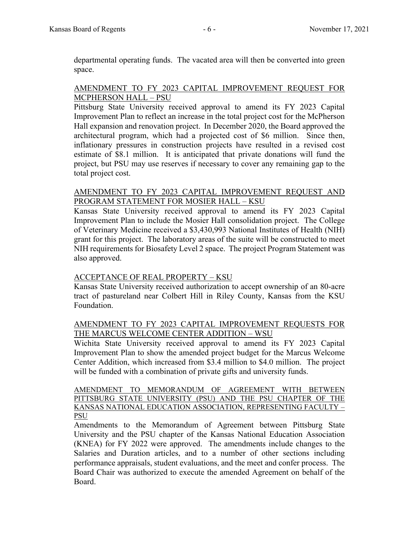departmental operating funds. The vacated area will then be converted into green space.

### AMENDMENT TO FY 2023 CAPITAL IMPROVEMENT REQUEST FOR MCPHERSON HALL – PSU

Pittsburg State University received approval to amend its FY 2023 Capital Improvement Plan to reflect an increase in the total project cost for the McPherson Hall expansion and renovation project. In December 2020, the Board approved the architectural program, which had a projected cost of \$6 million. Since then, inflationary pressures in construction projects have resulted in a revised cost estimate of \$8.1 million. It is anticipated that private donations will fund the project, but PSU may use reserves if necessary to cover any remaining gap to the total project cost.

### AMENDMENT TO FY 2023 CAPITAL IMPROVEMENT REQUEST AND PROGRAM STATEMENT FOR MOSIER HALL – KSU

Kansas State University received approval to amend its FY 2023 Capital Improvement Plan to include the Mosier Hall consolidation project. The College of Veterinary Medicine received a \$3,430,993 National Institutes of Health (NIH) grant for this project. The laboratory areas of the suite will be constructed to meet NIH requirements for Biosafety Level 2 space. The project Program Statement was also approved.

# ACCEPTANCE OF REAL PROPERTY – KSU

Kansas State University received authorization to accept ownership of an 80-acre tract of pastureland near Colbert Hill in Riley County, Kansas from the KSU Foundation.

### AMENDMENT TO FY 2023 CAPITAL IMPROVEMENT REQUESTS FOR THE MARCUS WELCOME CENTER ADDITION – WSU

Wichita State University received approval to amend its FY 2023 Capital Improvement Plan to show the amended project budget for the Marcus Welcome Center Addition, which increased from \$3.4 million to \$4.0 million. The project will be funded with a combination of private gifts and university funds.

AMENDMENT TO MEMORANDUM OF AGREEMENT WITH BETWEEN PITTSBURG STATE UNIVERSITY (PSU) AND THE PSU CHAPTER OF THE KANSAS NATIONAL EDUCATION ASSOCIATION, REPRESENTING FACULTY – PSU

Amendments to the Memorandum of Agreement between Pittsburg State University and the PSU chapter of the Kansas National Education Association (KNEA) for FY 2022 were approved. The amendments include changes to the Salaries and Duration articles, and to a number of other sections including performance appraisals, student evaluations, and the meet and confer process. The Board Chair was authorized to execute the amended Agreement on behalf of the Board.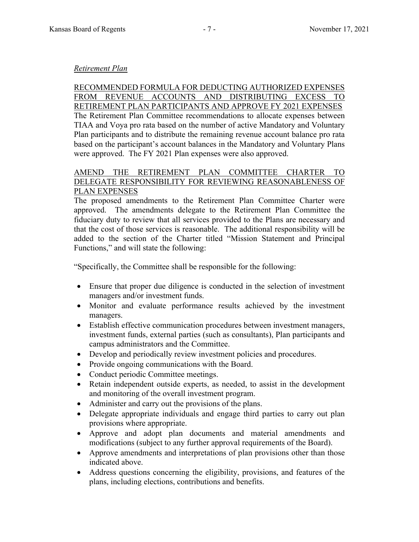#### *Retirement Plan*

RECOMMENDED FORMULA FOR DEDUCTING AUTHORIZED EXPENSES FROM REVENUE ACCOUNTS AND DISTRIBUTING EXCESS TO RETIREMENT PLAN PARTICIPANTS AND APPROVE FY 2021 EXPENSES The Retirement Plan Committee recommendations to allocate expenses between TIAA and Voya pro rata based on the number of active Mandatory and Voluntary Plan participants and to distribute the remaining revenue account balance pro rata based on the participant's account balances in the Mandatory and Voluntary Plans were approved. The FY 2021 Plan expenses were also approved.

#### AMEND THE RETIREMENT PLAN COMMITTEE CHARTER TO DELEGATE RESPONSIBILITY FOR REVIEWING REASONABLENESS OF PLAN EXPENSES

The proposed amendments to the Retirement Plan Committee Charter were approved. The amendments delegate to the Retirement Plan Committee the fiduciary duty to review that all services provided to the Plans are necessary and that the cost of those services is reasonable. The additional responsibility will be added to the section of the Charter titled "Mission Statement and Principal Functions," and will state the following:

"Specifically, the Committee shall be responsible for the following:

- Ensure that proper due diligence is conducted in the selection of investment managers and/or investment funds.
- Monitor and evaluate performance results achieved by the investment managers.
- Establish effective communication procedures between investment managers, investment funds, external parties (such as consultants), Plan participants and campus administrators and the Committee.
- Develop and periodically review investment policies and procedures.
- Provide ongoing communications with the Board.
- Conduct periodic Committee meetings.
- Retain independent outside experts, as needed, to assist in the development and monitoring of the overall investment program.
- Administer and carry out the provisions of the plans.
- Delegate appropriate individuals and engage third parties to carry out plan provisions where appropriate.
- Approve and adopt plan documents and material amendments and modifications (subject to any further approval requirements of the Board).
- Approve amendments and interpretations of plan provisions other than those indicated above.
- Address questions concerning the eligibility, provisions, and features of the plans, including elections, contributions and benefits.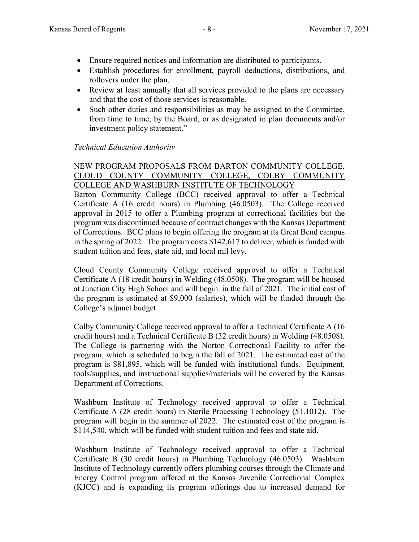- Ensure required notices and information are distributed to participants.
- Establish procedures for enrollment, payroll deductions, distributions, and rollovers under the plan.
- Review at least annually that all services provided to the plans are necessary and that the cost of those services is reasonable.
- Such other duties and responsibilities as may be assigned to the Committee, from time to time, by the Board, or as designated in plan documents and/or investment policy statement."

# *Technical Education Authority*

### NEW PROGRAM PROPOSALS FROM BARTON COMMUNITY COLLEGE, CLOUD COUNTY COMMUNITY COLLEGE, COLBY COMMUNITY COLLEGE AND WASHBURN INSTITUTE OF TECHNOLOGY

Barton Community College (BCC) received approval to offer a Technical Certificate A (16 credit hours) in Plumbing (46.0503). The College received approval in 2015 to offer a Plumbing program at correctional facilities but the program was discontinued because of contract changes with the Kansas Department of Corrections. BCC plans to begin offering the program at its Great Bend campus in the spring of 2022. The program costs \$142,617 to deliver, which is funded with student tuition and fees, state aid, and local mil levy.

Cloud County Community College received approval to offer a Technical Certificate A (18 credit hours) in Welding (48.0508). The program will be housed at Junction City High School and will begin in the fall of 2021. The initial cost of the program is estimated at \$9,000 (salaries), which will be funded through the College's adjunct budget.

Colby Community College received approval to offer a Technical Certificate A (16 credit hours) and a Technical Certificate B (32 credit hours) in Welding (48.0508). The College is partnering with the Norton Correctional Facility to offer the program, which is scheduled to begin the fall of 2021. The estimated cost of the program is \$81,895, which will be funded with institutional funds. Equipment, tools/supplies, and instructional supplies/materials will be covered by the Kansas Department of Corrections.

Washburn Institute of Technology received approval to offer a Technical Certificate A (28 credit hours) in Sterile Processing Technology (51.1012). The program will begin in the summer of 2022. The estimated cost of the program is \$114,540, which will be funded with student tuition and fees and state aid.

Washburn Institute of Technology received approval to offer a Technical Certificate B (30 credit hours) in Plumbing Technology (46.0503). Washburn Institute of Technology currently offers plumbing courses through the Climate and Energy Control program offered at the Kansas Juvenile Correctional Complex (KJCC) and is expanding its program offerings due to increased demand for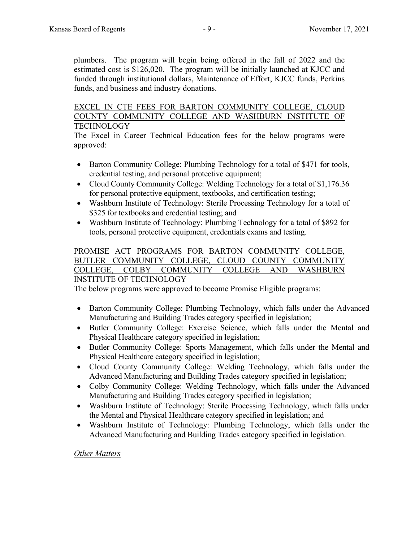plumbers. The program will begin being offered in the fall of 2022 and the estimated cost is \$126,020. The program will be initially launched at KJCC and funded through institutional dollars, Maintenance of Effort, KJCC funds, Perkins funds, and business and industry donations.

#### EXCEL IN CTE FEES FOR BARTON COMMUNITY COLLEGE, CLOUD COUNTY COMMUNITY COLLEGE AND WASHBURN INSTITUTE OF **TECHNOLOGY**

The Excel in Career Technical Education fees for the below programs were approved:

- Barton Community College: Plumbing Technology for a total of \$471 for tools, credential testing, and personal protective equipment;
- Cloud County Community College: Welding Technology for a total of \$1,176.36 for personal protective equipment, textbooks, and certification testing;
- Washburn Institute of Technology: Sterile Processing Technology for a total of \$325 for textbooks and credential testing; and
- Washburn Institute of Technology: Plumbing Technology for a total of \$892 for tools, personal protective equipment, credentials exams and testing.

# PROMISE ACT PROGRAMS FOR BARTON COMMUNITY COLLEGE, BUTLER COMMUNITY COLLEGE, CLOUD COUNTY COMMUNITY COLLEGE, COLBY COMMUNITY COLLEGE AND WASHBURN

# INSTITUTE OF TECHNOLOGY

The below programs were approved to become Promise Eligible programs:

- Barton Community College: Plumbing Technology, which falls under the Advanced Manufacturing and Building Trades category specified in legislation;
- Butler Community College: Exercise Science, which falls under the Mental and Physical Healthcare category specified in legislation;
- Butler Community College: Sports Management, which falls under the Mental and Physical Healthcare category specified in legislation;
- Cloud County Community College: Welding Technology, which falls under the Advanced Manufacturing and Building Trades category specified in legislation;
- Colby Community College: Welding Technology, which falls under the Advanced Manufacturing and Building Trades category specified in legislation;
- Washburn Institute of Technology: Sterile Processing Technology, which falls under the Mental and Physical Healthcare category specified in legislation; and
- Washburn Institute of Technology: Plumbing Technology, which falls under the Advanced Manufacturing and Building Trades category specified in legislation.

#### *Other Matters*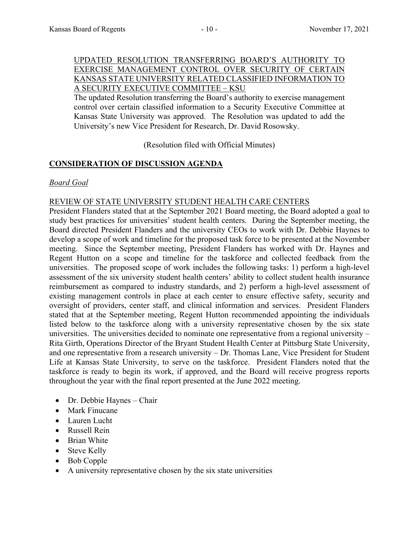### UPDATED RESOLUTION TRANSFERRING BOARD'S AUTHORITY TO EXERCISE MANAGEMENT CONTROL OVER SECURITY OF CERTAIN KANSAS STATE UNIVERSITY RELATED CLASSIFIED INFORMATION TO A SECURITY EXECUTIVE COMMITTEE – KSU

The updated Resolution transferring the Board's authority to exercise management control over certain classified information to a Security Executive Committee at Kansas State University was approved. The Resolution was updated to add the University's new Vice President for Research, Dr. David Rosowsky.

(Resolution filed with Official Minutes)

# **CONSIDERATION OF DISCUSSION AGENDA**

### *Board Goal*

### REVIEW OF STATE UNIVERSITY STUDENT HEALTH CARE CENTERS

President Flanders stated that at the September 2021 Board meeting, the Board adopted a goal to study best practices for universities' student health centers. During the September meeting, the Board directed President Flanders and the university CEOs to work with Dr. Debbie Haynes to develop a scope of work and timeline for the proposed task force to be presented at the November meeting. Since the September meeting, President Flanders has worked with Dr. Haynes and Regent Hutton on a scope and timeline for the taskforce and collected feedback from the universities. The proposed scope of work includes the following tasks: 1) perform a high-level assessment of the six university student health centers' ability to collect student health insurance reimbursement as compared to industry standards, and 2) perform a high-level assessment of existing management controls in place at each center to ensure effective safety, security and oversight of providers, center staff, and clinical information and services. President Flanders stated that at the September meeting, Regent Hutton recommended appointing the individuals listed below to the taskforce along with a university representative chosen by the six state universities. The universities decided to nominate one representative from a regional university – Rita Girth, Operations Director of the Bryant Student Health Center at Pittsburg State University, and one representative from a research university – Dr. Thomas Lane, Vice President for Student Life at Kansas State University, to serve on the taskforce. President Flanders noted that the taskforce is ready to begin its work, if approved, and the Board will receive progress reports throughout the year with the final report presented at the June 2022 meeting.

- Dr. Debbie Haynes Chair
- Mark Finucane
- Lauren Lucht
- Russell Rein
- Brian White
- Steve Kelly
- Bob Copple
- A university representative chosen by the six state universities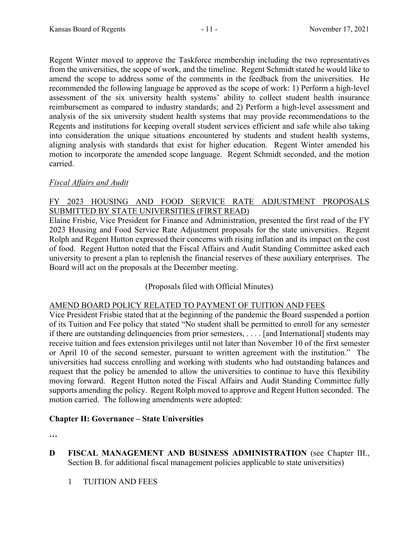Regent Winter moved to approve the Taskforce membership including the two representatives from the universities, the scope of work, and the timeline. Regent Schmidt stated he would like to amend the scope to address some of the comments in the feedback from the universities. He recommended the following language be approved as the scope of work: 1) Perform a high-level assessment of the six university health systems' ability to collect student health insurance reimbursement as compared to industry standards; and 2) Perform a high-level assessment and analysis of the six university student health systems that may provide recommendations to the Regents and institutions for keeping overall student services efficient and safe while also taking into consideration the unique situations encountered by students and student health systems, aligning analysis with standards that exist for higher education. Regent Winter amended his motion to incorporate the amended scope language. Regent Schmidt seconded, and the motion carried.

# *Fiscal Affairs and Audit*

# FY 2023 HOUSING AND FOOD SERVICE RATE ADJUSTMENT PROPOSALS SUBMITTED BY STATE UNIVERSITIES (FIRST READ)

Elaine Frisbie, Vice President for Finance and Administration, presented the first read of the FY 2023 Housing and Food Service Rate Adjustment proposals for the state universities. Regent Rolph and Regent Hutton expressed their concerns with rising inflation and its impact on the cost of food. Regent Hutton noted that the Fiscal Affairs and Audit Standing Committee asked each university to present a plan to replenish the financial reserves of these auxiliary enterprises. The Board will act on the proposals at the December meeting.

# (Proposals filed with Official Minutes)

# AMEND BOARD POLICY RELATED TO PAYMENT OF TUITION AND FEES

Vice President Frisbie stated that at the beginning of the pandemic the Board suspended a portion of its Tuition and Fee policy that stated "No student shall be permitted to enroll for any semester if there are outstanding delinquencies from prior semesters, . . . . [and International] students may receive tuition and fees extension privileges until not later than November 10 of the first semester or April 10 of the second semester, pursuant to written agreement with the institution." The universities had success enrolling and working with students who had outstanding balances and request that the policy be amended to allow the universities to continue to have this flexibility moving forward. Regent Hutton noted the Fiscal Affairs and Audit Standing Committee fully supports amending the policy. Regent Rolph moved to approve and Regent Hutton seconded. The motion carried. The following amendments were adopted:

#### **Chapter II: Governance – State Universities**

**…** 

**D FISCAL MANAGEMENT AND BUSINESS ADMINISTRATION** (see Chapter III., Section B. for additional fiscal management policies applicable to state universities)

1 TUITION AND FEES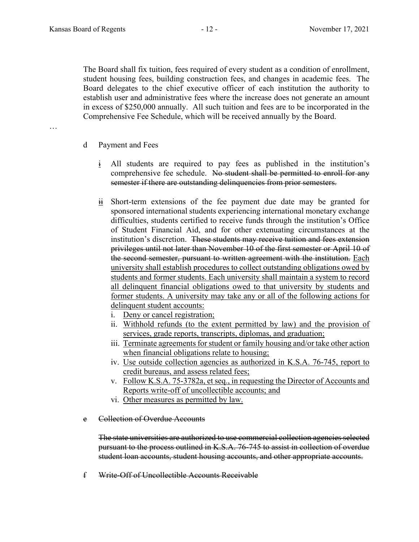…

The Board shall fix tuition, fees required of every student as a condition of enrollment, student housing fees, building construction fees, and changes in academic fees. The Board delegates to the chief executive officer of each institution the authority to establish user and administrative fees where the increase does not generate an amount in excess of \$250,000 annually. All such tuition and fees are to be incorporated in the Comprehensive Fee Schedule, which will be received annually by the Board.

- d Payment and Fees
	- i All students are required to pay fees as published in the institution's comprehensive fee schedule. No student shall be permitted to enroll for any semester if there are outstanding delinquencies from prior semesters.
	- $\frac{ii}{11}$  Short-term extensions of the fee payment due date may be granted for sponsored international students experiencing international monetary exchange difficulties, students certified to receive funds through the institution's Office of Student Financial Aid, and for other extenuating circumstances at the institution's discretion. These students may receive tuition and fees extension privileges until not later than November 10 of the first semester or April 10 of the second semester, pursuant to written agreement with the institution. Each university shall establish procedures to collect outstanding obligations owed by students and former students. Each university shall maintain a system to record all delinquent financial obligations owed to that university by students and former students. A university may take any or all of the following actions for delinquent student accounts:
		- i. Deny or cancel registration;
		- ii. Withhold refunds (to the extent permitted by law) and the provision of services, grade reports, transcripts, diplomas, and graduation;
		- iii. Terminate agreements for student or family housing and/or take other action when financial obligations relate to housing;
		- iv. Use outside collection agencies as authorized in K.S.A. 76-745, report to credit bureaus, and assess related fees;
		- v. Follow K.S.A. 75-3782a, et seq., in requesting the Director of Accounts and Reports write-off of uncollectible accounts; and
		- vi. Other measures as permitted by law.
- e Collection of Overdue Accounts

The state universities are authorized to use commercial collection agencies selected pursuant to the process outlined in K.S.A. 76-745 to assist in collection of overdue student loan accounts, student housing accounts, and other appropriate accounts.

f Write-Off of Uncollectible Accounts Receivable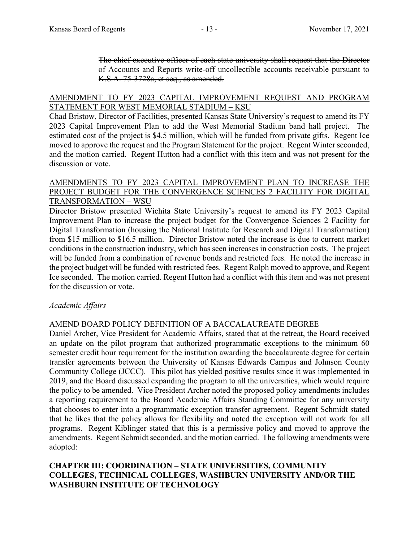The chief executive officer of each state university shall request that the Director of Accounts and Reports write-off uncollectible accounts receivable pursuant to K.S.A. 75-3728a, et seq., as amended.

### AMENDMENT TO FY 2023 CAPITAL IMPROVEMENT REQUEST AND PROGRAM STATEMENT FOR WEST MEMORIAL STADIUM – KSU

Chad Bristow, Director of Facilities, presented Kansas State University's request to amend its FY 2023 Capital Improvement Plan to add the West Memorial Stadium band hall project. The estimated cost of the project is \$4.5 million, which will be funded from private gifts. Regent Ice moved to approve the request and the Program Statement for the project. Regent Winter seconded, and the motion carried. Regent Hutton had a conflict with this item and was not present for the discussion or vote.

#### AMENDMENTS TO FY 2023 CAPITAL IMPROVEMENT PLAN TO INCREASE THE PROJECT BUDGET FOR THE CONVERGENCE SCIENCES 2 FACILITY FOR DIGITAL TRANSFORMATION – WSU

Director Bristow presented Wichita State University's request to amend its FY 2023 Capital Improvement Plan to increase the project budget for the Convergence Sciences 2 Facility for Digital Transformation (housing the National Institute for Research and Digital Transformation) from \$15 million to \$16.5 million. Director Bristow noted the increase is due to current market conditions in the construction industry, which has seen increases in construction costs. The project will be funded from a combination of revenue bonds and restricted fees. He noted the increase in the project budget will be funded with restricted fees. Regent Rolph moved to approve, and Regent Ice seconded. The motion carried. Regent Hutton had a conflict with this item and was not present for the discussion or vote.

# *Academic Affairs*

# AMEND BOARD POLICY DEFINITION OF A BACCALAUREATE DEGREE

Daniel Archer, Vice President for Academic Affairs, stated that at the retreat, the Board received an update on the pilot program that authorized programmatic exceptions to the minimum 60 semester credit hour requirement for the institution awarding the baccalaureate degree for certain transfer agreements between the University of Kansas Edwards Campus and Johnson County Community College (JCCC). This pilot has yielded positive results since it was implemented in 2019, and the Board discussed expanding the program to all the universities, which would require the policy to be amended. Vice President Archer noted the proposed policy amendments includes a reporting requirement to the Board Academic Affairs Standing Committee for any university that chooses to enter into a programmatic exception transfer agreement. Regent Schmidt stated that he likes that the policy allows for flexibility and noted the exception will not work for all programs. Regent Kiblinger stated that this is a permissive policy and moved to approve the amendments. Regent Schmidt seconded, and the motion carried. The following amendments were adopted:

# **CHAPTER III: COORDINATION – STATE UNIVERSITIES, COMMUNITY COLLEGES, TECHNICAL COLLEGES, WASHBURN UNIVERSITY AND/OR THE WASHBURN INSTITUTE OF TECHNOLOGY**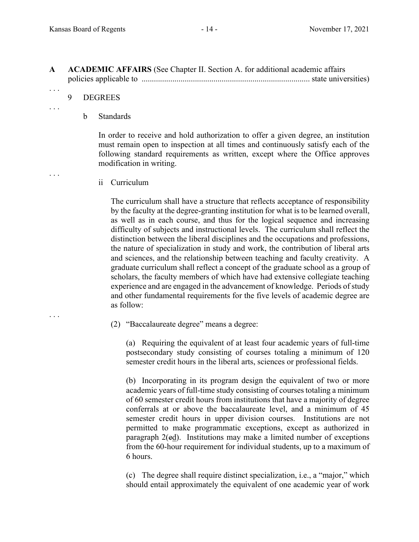| <b>ACADEMIC AFFAIRS</b> (See Chapter II. Section A. for additional academic affairs |  |
|-------------------------------------------------------------------------------------|--|
|                                                                                     |  |

9 DEGREES

. . .

. . .

. . .

. . .

#### b Standards

In order to receive and hold authorization to offer a given degree, an institution must remain open to inspection at all times and continuously satisfy each of the following standard requirements as written, except where the Office approves modification in writing.

ii Curriculum

The curriculum shall have a structure that reflects acceptance of responsibility by the faculty at the degree-granting institution for what is to be learned overall, as well as in each course, and thus for the logical sequence and increasing difficulty of subjects and instructional levels. The curriculum shall reflect the distinction between the liberal disciplines and the occupations and professions, the nature of specialization in study and work, the contribution of liberal arts and sciences, and the relationship between teaching and faculty creativity. A graduate curriculum shall reflect a concept of the graduate school as a group of scholars, the faculty members of which have had extensive collegiate teaching experience and are engaged in the advancement of knowledge. Periods of study and other fundamental requirements for the five levels of academic degree are as follow:

(2) "Baccalaureate degree" means a degree:

 (a) Requiring the equivalent of at least four academic years of full-time postsecondary study consisting of courses totaling a minimum of 120 semester credit hours in the liberal arts, sciences or professional fields.

 (b) Incorporating in its program design the equivalent of two or more academic years of full-time study consisting of courses totaling a minimum of 60 semester credit hours from institutions that have a majority of degree conferrals at or above the baccalaureate level, and a minimum of 45 semester credit hours in upper division courses. Institutions are not permitted to make programmatic exceptions, except as authorized in paragraph 2(ed). Institutions may make a limited number of exceptions from the 60-hour requirement for individual students, up to a maximum of 6 hours.

 (c) The degree shall require distinct specialization, i.e., a "major," which should entail approximately the equivalent of one academic year of work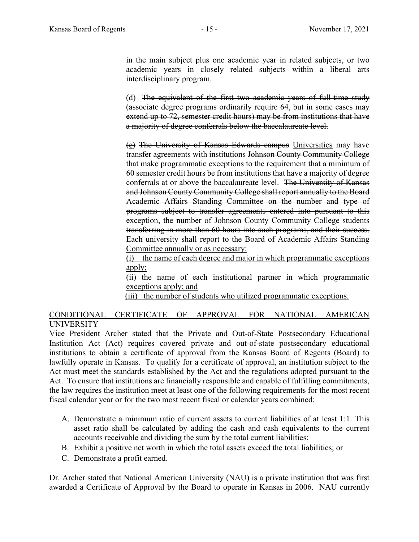in the main subject plus one academic year in related subjects, or two academic years in closely related subjects within a liberal arts interdisciplinary program.

 (d) The equivalent of the first two academic years of full-time study (associate degree programs ordinarily require 64, but in some cases may extend up to 72, semester credit hours) may be from institutions that have a majority of degree conferrals below the baccalaureate level.

(e) The University of Kansas Edwards campus Universities may have transfer agreements with institutions Johnson County Community College that make programmatic exceptions to the requirement that a minimum of 60 semester credit hours be from institutions that have a majority of degree conferrals at or above the baccalaureate level. The University of Kansas and Johnson County Community College shall report annually to the Board Academic Affairs Standing Committee on the number and type of programs subject to transfer agreements entered into pursuant to this exception, the number of Johnson County Community College students transferring in more than 60 hours into such programs, and their success. Each university shall report to the Board of Academic Affairs Standing Committee annually or as necessary:

(i) the name of each degree and major in which programmatic exceptions apply;

(ii) the name of each institutional partner in which programmatic exceptions apply; and

(iii) the number of students who utilized programmatic exceptions.

# CONDITIONAL CERTIFICATE OF APPROVAL FOR NATIONAL AMERICAN UNIVERSITY

Vice President Archer stated that the Private and Out-of-State Postsecondary Educational Institution Act (Act) requires covered private and out-of-state postsecondary educational institutions to obtain a certificate of approval from the Kansas Board of Regents (Board) to lawfully operate in Kansas. To qualify for a certificate of approval, an institution subject to the Act must meet the standards established by the Act and the regulations adopted pursuant to the Act. To ensure that institutions are financially responsible and capable of fulfilling commitments, the law requires the institution meet at least one of the following requirements for the most recent fiscal calendar year or for the two most recent fiscal or calendar years combined:

- A. Demonstrate a minimum ratio of current assets to current liabilities of at least 1:1. This asset ratio shall be calculated by adding the cash and cash equivalents to the current accounts receivable and dividing the sum by the total current liabilities;
- B. Exhibit a positive net worth in which the total assets exceed the total liabilities; or
- C. Demonstrate a profit earned.

Dr. Archer stated that National American University (NAU) is a private institution that was first awarded a Certificate of Approval by the Board to operate in Kansas in 2006. NAU currently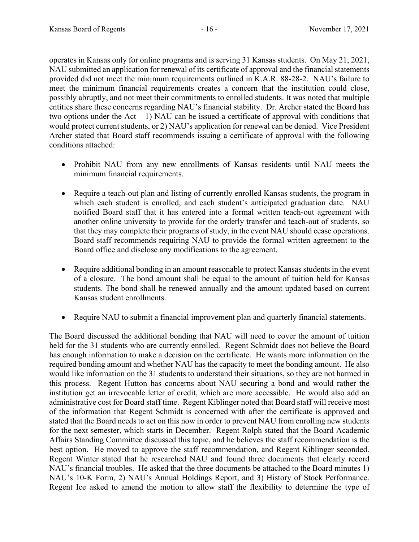operates in Kansas only for online programs and is serving 31 Kansas students. On May 21, 2021, NAU submitted an application for renewal of its certificate of approval and the financial statements provided did not meet the minimum requirements outlined in K.A.R. 88-28-2. NAU's failure to meet the minimum financial requirements creates a concern that the institution could close, possibly abruptly, and not meet their commitments to enrolled students. It was noted that multiple entities share these concerns regarding NAU's financial stability. Dr. Archer stated the Board has two options under the  $Act - 1$ ) NAU can be issued a certificate of approval with conditions that would protect current students, or 2) NAU's application for renewal can be denied. Vice President Archer stated that Board staff recommends issuing a certificate of approval with the following conditions attached:

- Prohibit NAU from any new enrollments of Kansas residents until NAU meets the minimum financial requirements.
- Require a teach-out plan and listing of currently enrolled Kansas students, the program in which each student is enrolled, and each student's anticipated graduation date. NAU notified Board staff that it has entered into a formal written teach-out agreement with another online university to provide for the orderly transfer and teach-out of students, so that they may complete their programs of study, in the event NAU should cease operations. Board staff recommends requiring NAU to provide the formal written agreement to the Board office and disclose any modifications to the agreement.
- Require additional bonding in an amount reasonable to protect Kansas students in the event of a closure. The bond amount shall be equal to the amount of tuition held for Kansas students. The bond shall be renewed annually and the amount updated based on current Kansas student enrollments.
- Require NAU to submit a financial improvement plan and quarterly financial statements.

The Board discussed the additional bonding that NAU will need to cover the amount of tuition held for the 31 students who are currently enrolled. Regent Schmidt does not believe the Board has enough information to make a decision on the certificate. He wants more information on the required bonding amount and whether NAU has the capacity to meet the bonding amount. He also would like information on the 31 students to understand their situations, so they are not harmed in this process. Regent Hutton has concerns about NAU securing a bond and would rather the institution get an irrevocable letter of credit, which are more accessible. He would also add an administrative cost for Board staff time. Regent Kiblinger noted that Board staff will receive most of the information that Regent Schmidt is concerned with after the certificate is approved and stated that the Board needs to act on this now in order to prevent NAU from enrolling new students for the next semester, which starts in December. Regent Rolph stated that the Board Academic Affairs Standing Committee discussed this topic, and he believes the staff recommendation is the best option. He moved to approve the staff recommendation, and Regent Kiblinger seconded. Regent Winter stated that he researched NAU and found three documents that clearly record NAU's financial troubles. He asked that the three documents be attached to the Board minutes 1) NAU's 10-K Form, 2) NAU's Annual Holdings Report, and 3) History of Stock Performance. Regent Ice asked to amend the motion to allow staff the flexibility to determine the type of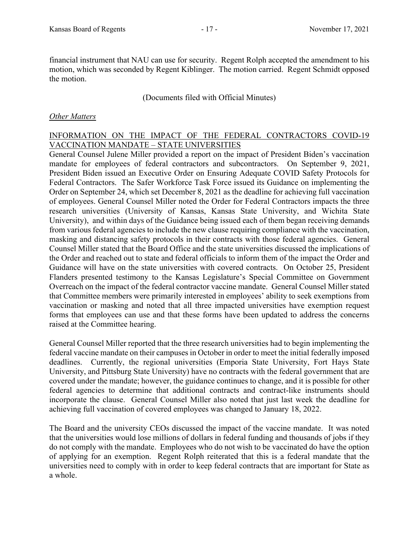financial instrument that NAU can use for security. Regent Rolph accepted the amendment to his motion, which was seconded by Regent Kiblinger. The motion carried. Regent Schmidt opposed the motion.

(Documents filed with Official Minutes)

### *Other Matters*

### INFORMATION ON THE IMPACT OF THE FEDERAL CONTRACTORS COVID-19 VACCINATION MANDATE – STATE UNIVERSITIES

General Counsel Julene Miller provided a report on the impact of President Biden's vaccination mandate for employees of federal contractors and subcontractors. On September 9, 2021, President Biden issued an Executive Order on Ensuring Adequate COVID Safety Protocols for Federal Contractors. The Safer Workforce Task Force issued its Guidance on implementing the Order on September 24, which set December 8, 2021 as the deadline for achieving full vaccination of employees. General Counsel Miller noted the Order for Federal Contractors impacts the three research universities (University of Kansas, Kansas State University, and Wichita State University), and within days of the Guidance being issued each of them began receiving demands from various federal agencies to include the new clause requiring compliance with the vaccination, masking and distancing safety protocols in their contracts with those federal agencies. General Counsel Miller stated that the Board Office and the state universities discussed the implications of the Order and reached out to state and federal officials to inform them of the impact the Order and Guidance will have on the state universities with covered contracts. On October 25, President Flanders presented testimony to the Kansas Legislature's Special Committee on Government Overreach on the impact of the federal contractor vaccine mandate. General Counsel Miller stated that Committee members were primarily interested in employees' ability to seek exemptions from vaccination or masking and noted that all three impacted universities have exemption request forms that employees can use and that these forms have been updated to address the concerns raised at the Committee hearing.

General Counsel Miller reported that the three research universities had to begin implementing the federal vaccine mandate on their campuses in October in order to meet the initial federally imposed deadlines. Currently, the regional universities (Emporia State University, Fort Hays State University, and Pittsburg State University) have no contracts with the federal government that are covered under the mandate; however, the guidance continues to change, and it is possible for other federal agencies to determine that additional contracts and contract-like instruments should incorporate the clause. General Counsel Miller also noted that just last week the deadline for achieving full vaccination of covered employees was changed to January 18, 2022.

The Board and the university CEOs discussed the impact of the vaccine mandate. It was noted that the universities would lose millions of dollars in federal funding and thousands of jobs if they do not comply with the mandate. Employees who do not wish to be vaccinated do have the option of applying for an exemption. Regent Rolph reiterated that this is a federal mandate that the universities need to comply with in order to keep federal contracts that are important for State as a whole.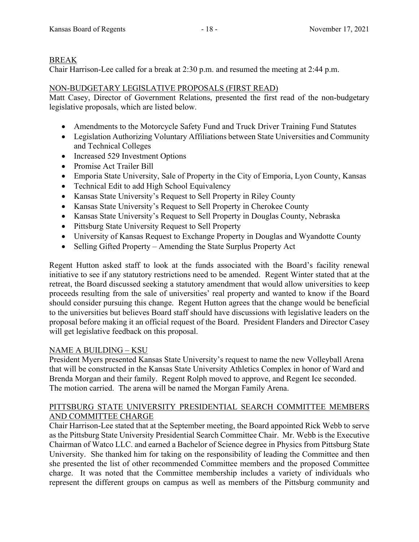# BREAK

Chair Harrison-Lee called for a break at 2:30 p.m. and resumed the meeting at 2:44 p.m.

# NON-BUDGETARY LEGISLATIVE PROPOSALS (FIRST READ)

Matt Casey, Director of Government Relations, presented the first read of the non-budgetary legislative proposals, which are listed below.

- Amendments to the Motorcycle Safety Fund and Truck Driver Training Fund Statutes
- Legislation Authorizing Voluntary Affiliations between State Universities and Community and Technical Colleges
- Increased 529 Investment Options
- Promise Act Trailer Bill
- Emporia State University, Sale of Property in the City of Emporia, Lyon County, Kansas
- Technical Edit to add High School Equivalency
- Kansas State University's Request to Sell Property in Riley County
- Kansas State University's Request to Sell Property in Cherokee County
- Kansas State University's Request to Sell Property in Douglas County, Nebraska
- Pittsburg State University Request to Sell Property
- University of Kansas Request to Exchange Property in Douglas and Wyandotte County
- Selling Gifted Property Amending the State Surplus Property Act

Regent Hutton asked staff to look at the funds associated with the Board's facility renewal initiative to see if any statutory restrictions need to be amended. Regent Winter stated that at the retreat, the Board discussed seeking a statutory amendment that would allow universities to keep proceeds resulting from the sale of universities' real property and wanted to know if the Board should consider pursuing this change. Regent Hutton agrees that the change would be beneficial to the universities but believes Board staff should have discussions with legislative leaders on the proposal before making it an official request of the Board. President Flanders and Director Casey will get legislative feedback on this proposal.

# NAME A BUILDING – KSU

President Myers presented Kansas State University's request to name the new Volleyball Arena that will be constructed in the Kansas State University Athletics Complex in honor of Ward and Brenda Morgan and their family. Regent Rolph moved to approve, and Regent Ice seconded. The motion carried. The arena will be named the Morgan Family Arena.

# PITTSBURG STATE UNIVERSITY PRESIDENTIAL SEARCH COMMITTEE MEMBERS AND COMMITTEE CHARGE

Chair Harrison-Lee stated that at the September meeting, the Board appointed Rick Webb to serve as the Pittsburg State University Presidential Search Committee Chair. Mr. Webb is the Executive Chairman of Watco LLC. and earned a Bachelor of Science degree in Physics from Pittsburg State University. She thanked him for taking on the responsibility of leading the Committee and then she presented the list of other recommended Committee members and the proposed Committee charge. It was noted that the Committee membership includes a variety of individuals who represent the different groups on campus as well as members of the Pittsburg community and